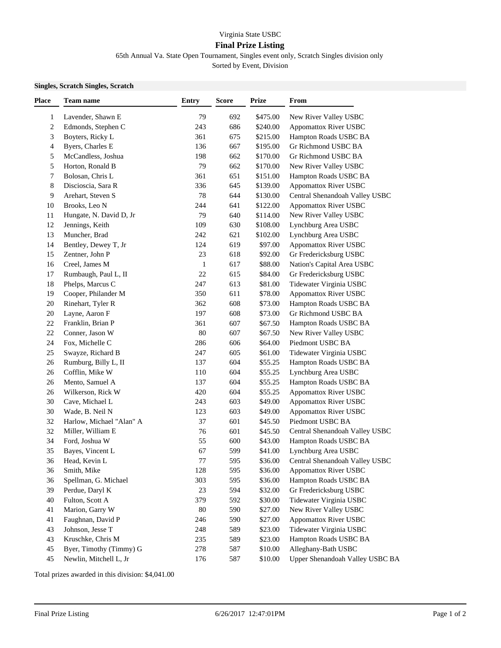## Virginia State USBC **Final Prize Listing**

65th Annual Va. State Open Tournament, Singles event only, Scratch Singles division only

Sorted by Event, Division

## **Singles, Scratch Singles, Scratch**

| Place          | Team name                | <b>Entry</b> | <b>Score</b> | <b>Prize</b> | From                            |
|----------------|--------------------------|--------------|--------------|--------------|---------------------------------|
| 1              | Lavender, Shawn E        | 79           | 692          | \$475.00     | New River Valley USBC           |
| $\overline{c}$ | Edmonds, Stephen C       | 243          | 686          | \$240.00     | <b>Appomattox River USBC</b>    |
| 3              | Boyters, Ricky L         | 361          | 675          | \$215.00     | Hampton Roads USBC BA           |
| 4              | Byers, Charles E         | 136          | 667          | \$195.00     | Gr Richmond USBC BA             |
| 5              | McCandless, Joshua       | 198          | 662          | \$170.00     | Gr Richmond USBC BA             |
| 5              | Horton, Ronald B         | 79           | 662          | \$170.00     | New River Valley USBC           |
| 7              | Bolosan, Chris L         | 361          | 651          | \$151.00     | Hampton Roads USBC BA           |
| 8              | Discioscia, Sara R       | 336          | 645          | \$139.00     | Appomattox River USBC           |
| 9              | Arehart, Steven S        | 78           | 644          | \$130.00     | Central Shenandoah Valley USBC  |
| 10             | Brooks, Leo N            | 244          | 641          | \$122.00     | Appomattox River USBC           |
| 11             | Hungate, N. David D, Jr  | 79           | 640          | \$114.00     | New River Valley USBC           |
| 12             | Jennings, Keith          | 109          | 630          | \$108.00     | Lynchburg Area USBC             |
| 13             | Muncher, Brad            | 242          | 621          | \$102.00     | Lynchburg Area USBC             |
| 14             | Bentley, Dewey T, Jr     | 124          | 619          | \$97.00      | Appomattox River USBC           |
| 15             | Zentner, John P          | 23           | 618          | \$92.00      | Gr Fredericksburg USBC          |
| 16             | Creel, James M           | 1            | 617          | \$88.00      | Nation's Capital Area USBC      |
| 17             | Rumbaugh, Paul L, II     | 22           | 615          | \$84.00      | Gr Fredericksburg USBC          |
| 18             | Phelps, Marcus C         | 247          | 613          | \$81.00      | Tidewater Virginia USBC         |
| 19             | Cooper, Philander M      | 350          | 611          | \$78.00      | Appomattox River USBC           |
| 20             | Rinehart, Tyler R        | 362          | 608          | \$73.00      | Hampton Roads USBC BA           |
| $20\,$         | Layne, Aaron F           | 197          | 608          | \$73.00      | Gr Richmond USBC BA             |
| 22             | Franklin, Brian P        | 361          | 607          | \$67.50      | Hampton Roads USBC BA           |
| $22\,$         | Conner, Jason W          | 80           | 607          | \$67.50      | New River Valley USBC           |
| 24             | Fox, Michelle C          | 286          | 606          | \$64.00      | Piedmont USBC BA                |
| $25\,$         | Swayze, Richard B        | 247          | 605          | \$61.00      | Tidewater Virginia USBC         |
| 26             | Rumburg, Billy L, II     | 137          | 604          | \$55.25      | Hampton Roads USBC BA           |
| 26             | Cofflin, Mike W          | 110          | 604          | \$55.25      | Lynchburg Area USBC             |
| 26             | Mento, Samuel A          | 137          | 604          | \$55.25      | Hampton Roads USBC BA           |
| 26             | Wilkerson, Rick W        | 420          | 604          | \$55.25      | Appomattox River USBC           |
| 30             | Cave, Michael L          | 243          | 603          | \$49.00      | Appomattox River USBC           |
| 30             | Wade, B. Neil N          | 123          | 603          | \$49.00      | <b>Appomattox River USBC</b>    |
| 32             | Harlow, Michael "Alan" A | 37           | 601          | \$45.50      | Piedmont USBC BA                |
| 32             | Miller, William E        | 76           | 601          | \$45.50      | Central Shenandoah Valley USBC  |
| 34             | Ford, Joshua W           | 55           | 600          | \$43.00      | Hampton Roads USBC BA           |
| 35             | Bayes, Vincent L         | 67           | 599          | \$41.00      | Lynchburg Area USBC             |
| 36             | Head, Kevin L            | 77           | 595          | \$36.00      | Central Shenandoah Valley USBC  |
| 36             | Smith, Mike              | 128          | 595          | \$36.00      | <b>Appomattox River USBC</b>    |
| 36             | Spellman, G. Michael     | 303          | 595          | \$36.00      | Hampton Roads USBC BA           |
| 39             | Perdue, Daryl K          | 23           | 594          | \$32.00      | Gr Fredericksburg USBC          |
| 40             | Fulton, Scott A          | 379          | 592          | \$30.00      | Tidewater Virginia USBC         |
| 41             | Marion, Garry W          | 80           | 590          | \$27.00      | New River Valley USBC           |
| 41             | Faughnan, David P        | 246          | 590          | \$27.00      | Appomattox River USBC           |
| 43             | Johnson, Jesse T         | 248          | 589          | \$23.00      | Tidewater Virginia USBC         |
| 43             | Kruschke, Chris M        | 235          | 589          | \$23.00      | Hampton Roads USBC BA           |
| 45             | Byer, Timothy (Timmy) G  | 278          | 587          | \$10.00      | Alleghany-Bath USBC             |
| 45             | Newlin, Mitchell L, Jr   | 176          | 587          | \$10.00      | Upper Shenandoah Valley USBC BA |

Total prizes awarded in this division: \$4,041.00